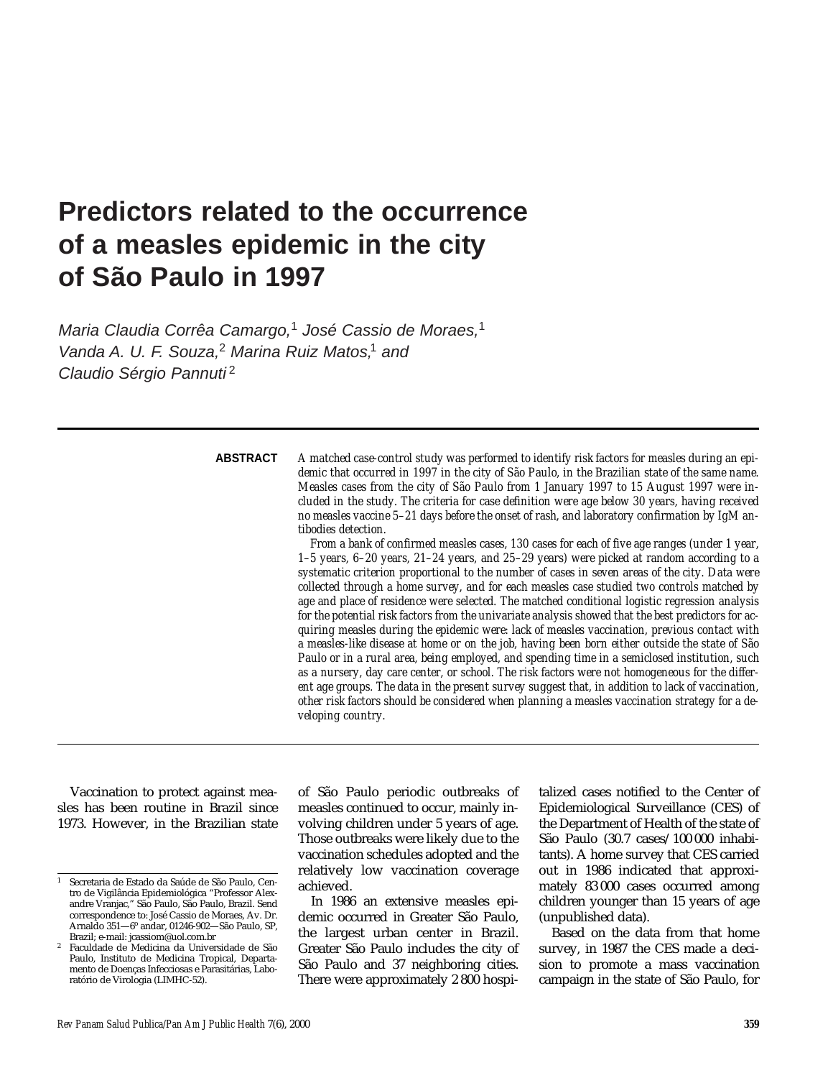# **Predictors related to the occurrence of a measles epidemic in the city of São Paulo in 1997**

Maria Claudia Corrêa Camargo,<sup>1</sup> José Cassio de Moraes,<sup>1</sup> Vanda A. U. F. Souza,<sup>2</sup> Marina Ruiz Matos,<sup>1</sup> and Claudio Sérgio Pannuti<sup>2</sup>

### **ABSTRACT**

*A matched case-control study was performed to identify risk factors for measles during an epidemic that occurred in 1997 in the city of São Paulo, in the Brazilian state of the same name. Measles cases from the city of São Paulo from 1 January 1997 to 15 August 1997 were included in the study. The criteria for case definition were age below 30 years, having received no measles vaccine 5–21 days before the onset of rash, and laboratory confirmation by IgM antibodies detection.* 

*From a bank of confirmed measles cases, 130 cases for each of five age ranges (under 1 year, 1–5 years, 6–20 years, 21–24 years, and 25–29 years) were picked at random according to a systematic criterion proportional to the number of cases in seven areas of the city. Data were collected through a home survey, and for each measles case studied two controls matched by age and place of residence were selected. The matched conditional logistic regression analysis for the potential risk factors from the univariate analysis showed that the best predictors for acquiring measles during the epidemic were: lack of measles vaccination, previous contact with a measles-like disease at home or on the job, having been born either outside the state of São Paulo or in a rural area, being employed, and spending time in a semiclosed institution, such as a nursery, day care center, or school. The risk factors were not homogeneous for the different age groups. The data in the present survey suggest that, in addition to lack of vaccination, other risk factors should be considered when planning a measles vaccination strategy for a developing country.*

Vaccination to protect against measles has been routine in Brazil since 1973. However, in the Brazilian state

of São Paulo periodic outbreaks of measles continued to occur, mainly involving children under 5 years of age. Those outbreaks were likely due to the vaccination schedules adopted and the relatively low vaccination coverage achieved.

In 1986 an extensive measles epidemic occurred in Greater São Paulo, the largest urban center in Brazil. Greater São Paulo includes the city of São Paulo and 37 neighboring cities. There were approximately 2 800 hospitalized cases notified to the Center of Epidemiological Surveillance (CES) of the Department of Health of the state of São Paulo (30.7 cases/100 000 inhabitants). A home survey that CES carried out in 1986 indicated that approximately 83 000 cases occurred among children younger than 15 years of age (unpublished data).

Based on the data from that home survey, in 1987 the CES made a decision to promote a mass vaccination campaign in the state of São Paulo, for

<sup>1</sup> Secretaria de Estado da Saúde de São Paulo, Centro de Vigilância Epidemiológica "Professor Alexandre Vranjac," São Paulo, São Paulo, Brazil. Send correspondence to: José Cassio de Moraes, Av. Dr. Arnaldo 351—6<sup>o</sup> andar, 01246-902—São Paulo, SP, Brazil; e-mail: jcassiom@uol.com.br

<sup>2</sup> Faculdade de Medicina da Universidade de São Paulo, Instituto de Medicina Tropical, Departamento de Doenças Infecciosas e Parasitárias, Laboratório de Virologia (LIMHC-52).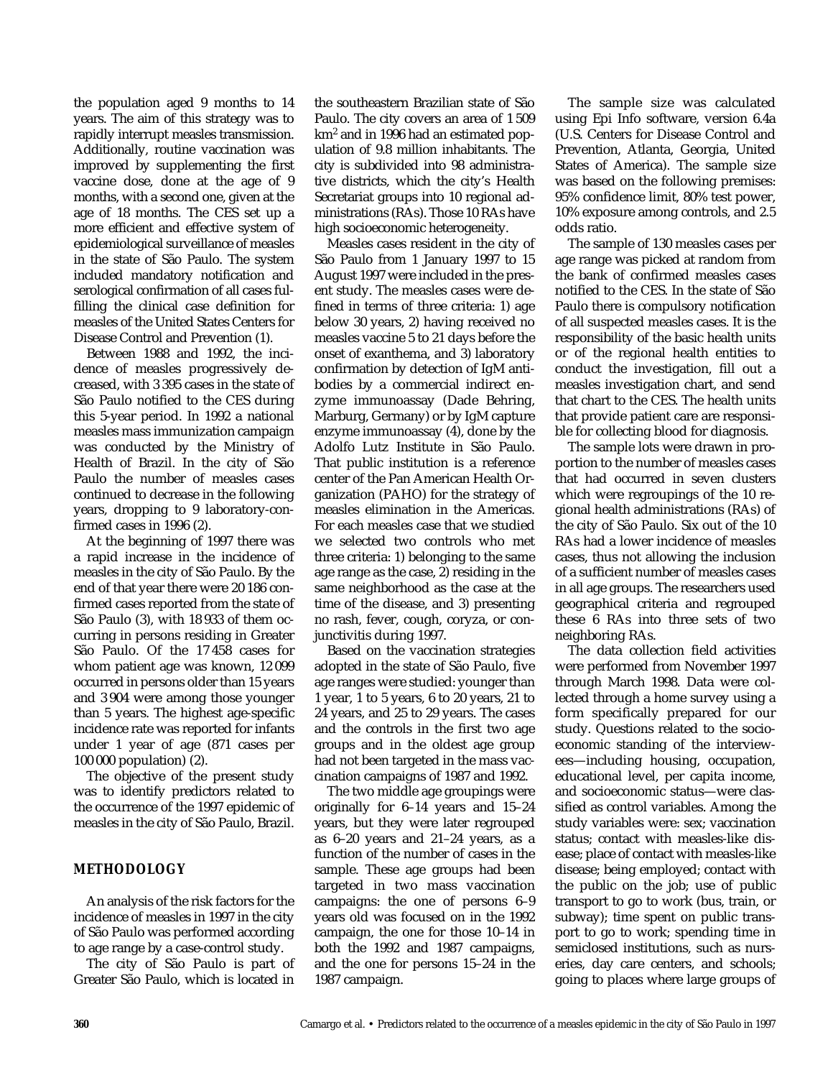the population aged 9 months to 14 years. The aim of this strategy was to rapidly interrupt measles transmission. Additionally, routine vaccination was improved by supplementing the first vaccine dose, done at the age of 9 months, with a second one, given at the age of 18 months. The CES set up a more efficient and effective system of epidemiological surveillance of measles in the state of São Paulo. The system included mandatory notification and serological confirmation of all cases fulfilling the clinical case definition for measles of the United States Centers for Disease Control and Prevention (1).

Between 1988 and 1992, the incidence of measles progressively decreased, with 3 395 cases in the state of São Paulo notified to the CES during this 5-year period. In 1992 a national measles mass immunization campaign was conducted by the Ministry of Health of Brazil. In the city of São Paulo the number of measles cases continued to decrease in the following years, dropping to 9 laboratory-confirmed cases in 1996 (2).

At the beginning of 1997 there was a rapid increase in the incidence of measles in the city of São Paulo. By the end of that year there were 20 186 confirmed cases reported from the state of São Paulo (3), with 18 933 of them occurring in persons residing in Greater São Paulo. Of the 17 458 cases for whom patient age was known, 12 099 occurred in persons older than 15 years and 3 904 were among those younger than 5 years. The highest age-specific incidence rate was reported for infants under 1 year of age (871 cases per 100 000 population) (2).

The objective of the present study was to identify predictors related to the occurrence of the 1997 epidemic of measles in the city of São Paulo, Brazil.

## **METHODOLOGY**

An analysis of the risk factors for the incidence of measles in 1997 in the city of São Paulo was performed according to age range by a case-control study.

The city of São Paulo is part of Greater São Paulo, which is located in

the southeastern Brazilian state of São Paulo. The city covers an area of 1 509 km2 and in 1996 had an estimated population of 9.8 million inhabitants. The city is subdivided into 98 administrative districts, which the city's Health Secretariat groups into 10 regional administrations (RAs). Those 10 RAs have high socioeconomic heterogeneity.

Measles cases resident in the city of São Paulo from 1 January 1997 to 15 August 1997 were included in the present study. The measles cases were defined in terms of three criteria: 1) age below 30 years, 2) having received no measles vaccine 5 to 21 days before the onset of exanthema, and 3) laboratory confirmation by detection of IgM antibodies by a commercial indirect enzyme immunoassay (Dade Behring, Marburg, Germany) or by IgM capture enzyme immunoassay (4), done by the Adolfo Lutz Institute in São Paulo. That public institution is a reference center of the Pan American Health Organization (PAHO) for the strategy of measles elimination in the Americas. For each measles case that we studied we selected two controls who met three criteria: 1) belonging to the same age range as the case, 2) residing in the same neighborhood as the case at the time of the disease, and 3) presenting no rash, fever, cough, coryza, or conjunctivitis during 1997.

Based on the vaccination strategies adopted in the state of São Paulo, five age ranges were studied: younger than 1 year, 1 to 5 years, 6 to 20 years, 21 to 24 years, and 25 to 29 years. The cases and the controls in the first two age groups and in the oldest age group had not been targeted in the mass vaccination campaigns of 1987 and 1992.

The two middle age groupings were originally for 6–14 years and 15–24 years, but they were later regrouped as 6–20 years and 21–24 years, as a function of the number of cases in the sample. These age groups had been targeted in two mass vaccination campaigns: the one of persons 6–9 years old was focused on in the 1992 campaign, the one for those 10–14 in both the 1992 and 1987 campaigns, and the one for persons 15–24 in the 1987 campaign.

The sample size was calculated using Epi Info software, version 6.4a (U.S. Centers for Disease Control and Prevention, Atlanta, Georgia, United States of America). The sample size was based on the following premises: 95% confidence limit, 80% test power, 10% exposure among controls, and 2.5 odds ratio.

The sample of 130 measles cases per age range was picked at random from the bank of confirmed measles cases notified to the CES. In the state of São Paulo there is compulsory notification of all suspected measles cases. It is the responsibility of the basic health units or of the regional health entities to conduct the investigation, fill out a measles investigation chart, and send that chart to the CES. The health units that provide patient care are responsible for collecting blood for diagnosis.

The sample lots were drawn in proportion to the number of measles cases that had occurred in seven clusters which were regroupings of the 10 regional health administrations (RAs) of the city of São Paulo. Six out of the 10 RAs had a lower incidence of measles cases, thus not allowing the inclusion of a sufficient number of measles cases in all age groups. The researchers used geographical criteria and regrouped these 6 RAs into three sets of two neighboring RAs.

The data collection field activities were performed from November 1997 through March 1998. Data were collected through a home survey using a form specifically prepared for our study. Questions related to the socioeconomic standing of the interviewees—including housing, occupation, educational level, per capita income, and socioeconomic status—were classified as control variables. Among the study variables were: sex; vaccination status; contact with measles-like disease; place of contact with measles-like disease; being employed; contact with the public on the job; use of public transport to go to work (bus, train, or subway); time spent on public transport to go to work; spending time in semiclosed institutions, such as nurseries, day care centers, and schools; going to places where large groups of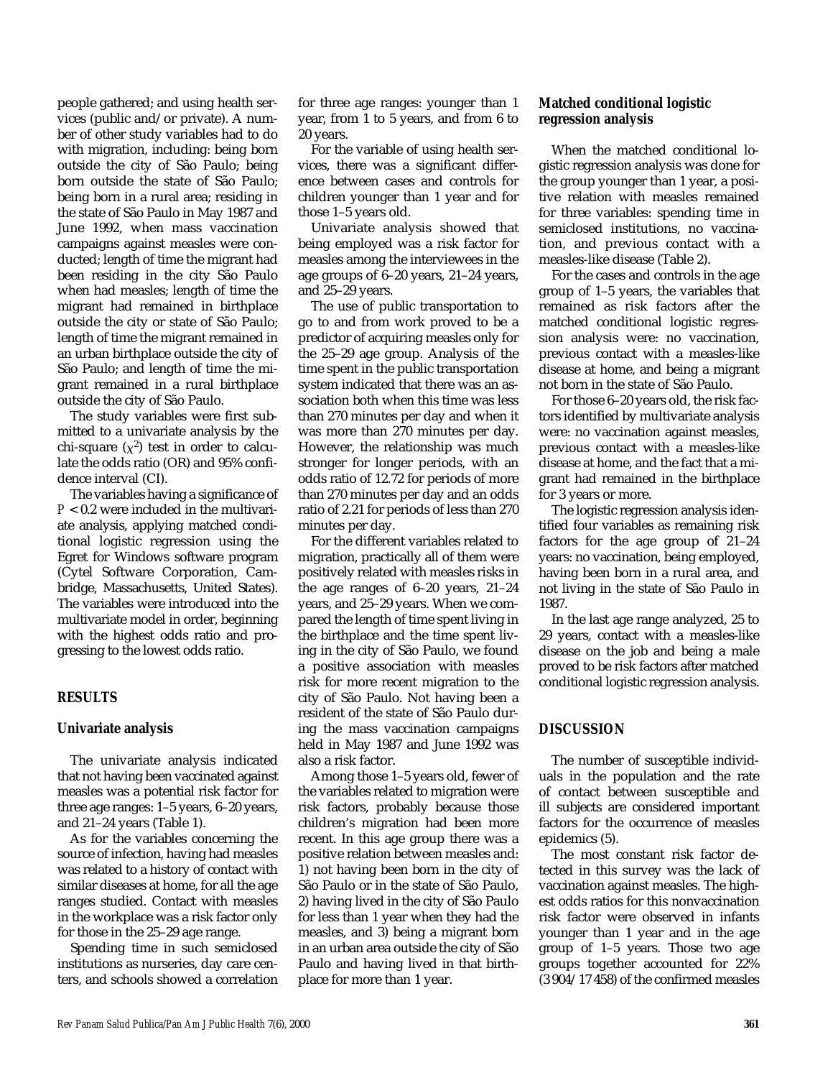people gathered; and using health services (public and/or private). A number of other study variables had to do with migration, including: being born outside the city of São Paulo; being born outside the state of São Paulo; being born in a rural area; residing in the state of São Paulo in May 1987 and June 1992, when mass vaccination campaigns against measles were conducted; length of time the migrant had been residing in the city São Paulo when had measles; length of time the migrant had remained in birthplace outside the city or state of São Paulo; length of time the migrant remained in an urban birthplace outside the city of São Paulo; and length of time the migrant remained in a rural birthplace outside the city of São Paulo.

The study variables were first submitted to a univariate analysis by the chi-square  $(\chi^2)$  test in order to calculate the odds ratio (OR) and 95% confidence interval (CI).

The variables having a significance of *P* < 0.2 were included in the multivariate analysis, applying matched conditional logistic regression using the Egret for Windows software program (Cytel Software Corporation, Cambridge, Massachusetts, United States). The variables were introduced into the multivariate model in order, beginning with the highest odds ratio and progressing to the lowest odds ratio.

### **RESULTS**

#### **Univariate analysis**

The univariate analysis indicated that not having been vaccinated against measles was a potential risk factor for three age ranges: 1–5 years, 6–20 years, and 21–24 years (Table 1).

As for the variables concerning the source of infection, having had measles was related to a history of contact with similar diseases at home, for all the age ranges studied. Contact with measles in the workplace was a risk factor only for those in the 25–29 age range.

Spending time in such semiclosed institutions as nurseries, day care centers, and schools showed a correlation

for three age ranges: younger than 1 year, from 1 to 5 years, and from 6 to 20 years.

For the variable of using health services, there was a significant difference between cases and controls for children younger than 1 year and for those 1–5 years old.

Univariate analysis showed that being employed was a risk factor for measles among the interviewees in the age groups of 6–20 years, 21–24 years, and 25–29 years.

The use of public transportation to go to and from work proved to be a predictor of acquiring measles only for the 25–29 age group. Analysis of the time spent in the public transportation system indicated that there was an association both when this time was less than 270 minutes per day and when it was more than 270 minutes per day. However, the relationship was much stronger for longer periods, with an odds ratio of 12.72 for periods of more than 270 minutes per day and an odds ratio of 2.21 for periods of less than 270 minutes per day.

For the different variables related to migration, practically all of them were positively related with measles risks in the age ranges of 6–20 years, 21–24 years, and 25–29 years. When we compared the length of time spent living in the birthplace and the time spent living in the city of São Paulo, we found a positive association with measles risk for more recent migration to the city of São Paulo. Not having been a resident of the state of São Paulo during the mass vaccination campaigns held in May 1987 and June 1992 was also a risk factor.

Among those 1–5 years old, fewer of the variables related to migration were risk factors, probably because those children's migration had been more recent. In this age group there was a positive relation between measles and: 1) not having been born in the city of São Paulo or in the state of São Paulo, 2) having lived in the city of São Paulo for less than 1 year when they had the measles, and 3) being a migrant born in an urban area outside the city of São Paulo and having lived in that birthplace for more than 1 year.

#### **Matched conditional logistic regression analysis**

When the matched conditional logistic regression analysis was done for the group younger than 1 year, a positive relation with measles remained for three variables: spending time in semiclosed institutions, no vaccination, and previous contact with a measles-like disease (Table 2).

For the cases and controls in the age group of 1–5 years, the variables that remained as risk factors after the matched conditional logistic regression analysis were: no vaccination, previous contact with a measles-like disease at home, and being a migrant not born in the state of São Paulo.

For those 6–20 years old, the risk factors identified by multivariate analysis were: no vaccination against measles, previous contact with a measles-like disease at home, and the fact that a migrant had remained in the birthplace for 3 years or more.

The logistic regression analysis identified four variables as remaining risk factors for the age group of 21–24 years: no vaccination, being employed, having been born in a rural area, and not living in the state of São Paulo in 1987.

In the last age range analyzed, 25 to 29 years, contact with a measles-like disease on the job and being a male proved to be risk factors after matched conditional logistic regression analysis.

#### **DISCUSSION**

The number of susceptible individuals in the population and the rate of contact between susceptible and ill subjects are considered important factors for the occurrence of measles epidemics (5).

The most constant risk factor detected in this survey was the lack of vaccination against measles. The highest odds ratios for this nonvaccination risk factor were observed in infants younger than 1 year and in the age group of 1–5 years. Those two age groups together accounted for 22% (3 904/17 458) of the confirmed measles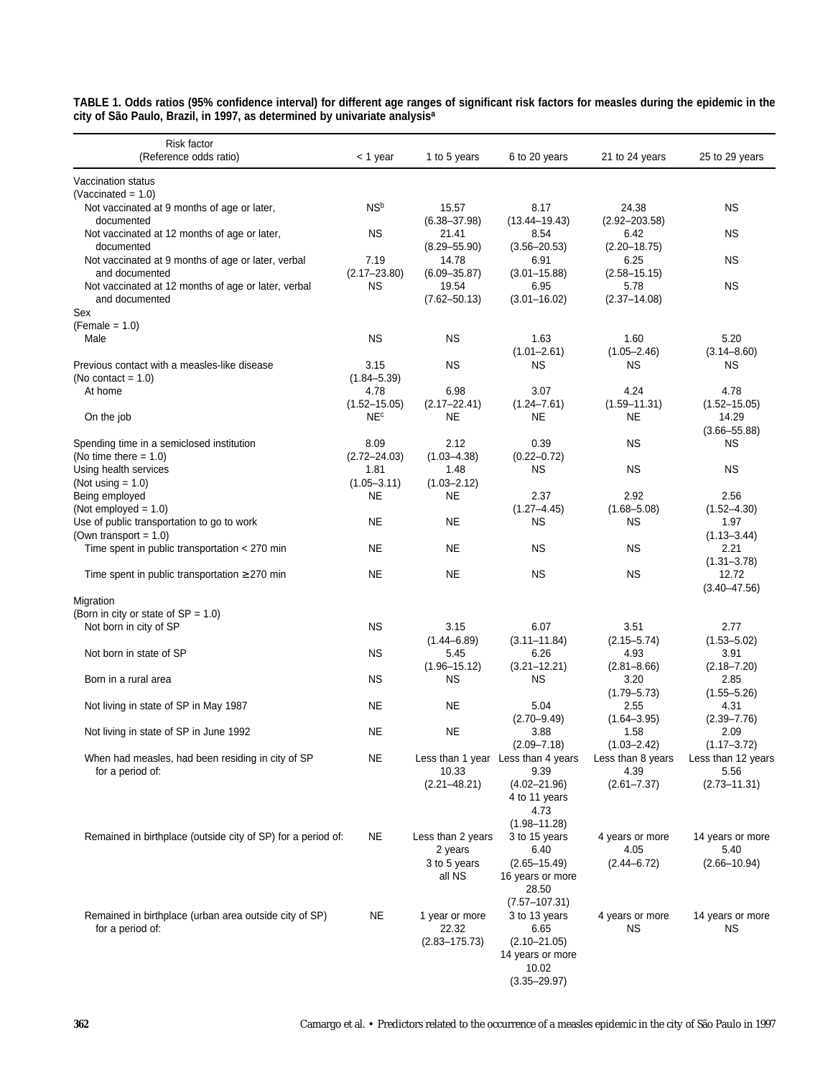| Risk factor<br>(Reference odds ratio)                                 | < 1 year                | 1 to 5 years              | 6 to 20 years                      | 21 to 24 years             | 25 to 29 years           |
|-----------------------------------------------------------------------|-------------------------|---------------------------|------------------------------------|----------------------------|--------------------------|
| Vaccination status                                                    |                         |                           |                                    |                            |                          |
| (Vaccinated = $1.0$ )                                                 |                         |                           |                                    |                            |                          |
| Not vaccinated at 9 months of age or later,<br>documented             | NS <sup>b</sup>         | 15.57<br>$(6.38 - 37.98)$ | 8.17<br>$(13.44 - 19.43)$          | 24.38<br>$(2.92 - 203.58)$ | ΝS                       |
| Not vaccinated at 12 months of age or later,                          | <b>NS</b>               | 21.41                     | 8.54                               | 6.42                       | ΝS                       |
| documented                                                            |                         | $(8.29 - 55.90)$          | $(3.56 - 20.53)$                   | $(2.20 - 18.75)$           |                          |
| Not vaccinated at 9 months of age or later, verbal                    | 7.19                    | 14.78                     | 6.91                               | 6.25                       | <b>NS</b>                |
| and documented                                                        | $(2.17 - 23.80)$        | $(6.09 - 35.87)$          | $(3.01 - 15.88)$                   | $(2.58 - 15.15)$           |                          |
| Not vaccinated at 12 months of age or later, verbal<br>and documented | ΝS                      | 19.54<br>$(7.62 - 50.13)$ | 6.95<br>$(3.01 - 16.02)$           | 5.78<br>$(2.37 - 14.08)$   | <b>NS</b>                |
| Sex                                                                   |                         |                           |                                    |                            |                          |
| $(Female = 1.0)$                                                      |                         |                           |                                    |                            |                          |
| Male                                                                  | <b>NS</b>               | <b>NS</b>                 | 1.63                               | 1.60                       | 5.20                     |
|                                                                       |                         |                           | $(1.01 - 2.61)$                    | $(1.05 - 2.46)$            | $(3.14 - 8.60)$          |
| Previous contact with a measles-like disease                          | 3.15                    | ΝS                        | ΝS                                 | <b>NS</b>                  | ΝS                       |
| (No contact = $1.0$ )<br>At home                                      | $(1.84 - 5.39)$<br>4.78 | 6.98                      | 3.07                               | 4.24                       | 4.78                     |
|                                                                       | $(1.52 - 15.05)$        | $(2.17 - 22.41)$          | $(1.24 - 7.61)$                    | $(1.59 - 11.31)$           | $(1.52 - 15.05)$         |
| On the job                                                            | <b>NE<sup>c</sup></b>   | NE.                       | <b>NE</b>                          | NE.                        | 14.29                    |
|                                                                       |                         |                           |                                    |                            | $(3.66 - 55.88)$         |
| Spending time in a semiclosed institution                             | 8.09                    | 2.12                      | 0.39                               | <b>NS</b>                  | ΝS                       |
| (No time there $= 1.0$ )                                              | $(2.72 - 24.03)$        | $(1.03 - 4.38)$           | $(0.22 - 0.72)$                    |                            |                          |
| Using health services<br>(Not using $= 1.0$ )                         | 1.81<br>$(1.05 - 3.11)$ | 1.48<br>$(1.03 - 2.12)$   | ΝS                                 | <b>NS</b>                  | ΝS                       |
| Being employed                                                        | ΝE                      | NE                        | 2.37                               | 2.92                       | 2.56                     |
| (Not employed $= 1.0$ )                                               |                         |                           | $(1.27 - 4.45)$                    | $(1.68 - 5.08)$            | $(1.52 - 4.30)$          |
| Use of public transportation to go to work                            | NE                      | NE                        | ΝS                                 | ΝS                         | 1.97                     |
| (Own transport = $1.0$ )                                              |                         |                           |                                    |                            | $(1.13 - 3.44)$          |
| Time spent in public transportation $<$ 270 min                       | ΝE                      | <b>NE</b>                 | <b>NS</b>                          | ΝS                         | 2.21                     |
| Time spent in public transportation $\geq$ 270 min                    | ΝE                      | <b>NE</b>                 | <b>NS</b>                          | <b>NS</b>                  | $(1.31 - 3.78)$<br>12.72 |
| Migration                                                             |                         |                           |                                    |                            | $(3.40 - 47.56)$         |
| (Born in city or state of $SP = 1.0$ )                                |                         |                           |                                    |                            |                          |
| Not born in city of SP                                                | ΝS                      | 3.15                      | 6.07                               | 3.51                       | 2.77                     |
|                                                                       |                         | $(1.44 - 6.89)$           | $(3.11 - 11.84)$                   | $(2.15 - 5.74)$            | $(1.53 - 5.02)$          |
| Not born in state of SP                                               | ΝS                      | 5.45                      | 6.26                               | 4.93                       | 3.91                     |
| Born in a rural area                                                  | ΝS                      | $(1.96 - 15.12)$          | $(3.21 - 12.21)$                   | $(2.81 - 8.66)$            | $(2.18 - 7.20)$          |
|                                                                       |                         | ΝS                        | ΝS                                 | 3.20<br>$(1.79 - 5.73)$    | 2.85<br>$(1.55 - 5.26)$  |
| Not living in state of SP in May 1987                                 | ΝE                      | <b>NE</b>                 | 5.04                               | 2.55                       | 4.31                     |
|                                                                       |                         |                           | $(2.70 - 9.49)$                    | $(1.64 - 3.95)$            | $(2.39 - 7.76)$          |
| Not living in state of SP in June 1992                                | ΝE                      | <b>NE</b>                 | 3.88                               | 1.58                       | 2.09                     |
|                                                                       |                         |                           | $(2.09 - 7.18)$                    | $(1.03 - 2.42)$            | $(1.17 - 3.72)$          |
| When had measles, had been residing in city of SP                     | <b>NE</b>               |                           | Less than 1 year Less than 4 years | Less than 8 years          | Less than 12 years       |
| for a period of:                                                      |                         | 10.33<br>$(2.21 - 48.21)$ | 9.39<br>$(4.02 - 21.96)$           | 4.39<br>$(2.61 - 7.37)$    | 5.56<br>$(2.73 - 11.31)$ |
|                                                                       |                         |                           | 4 to 11 years<br>4.73              |                            |                          |
|                                                                       |                         |                           | $(1.98 - 11.28)$                   |                            |                          |
| Remained in birthplace (outside city of SP) for a period of:          | <b>NE</b>               | Less than 2 years         | 3 to 15 years                      | 4 years or more            | 14 years or more         |
|                                                                       |                         | 2 years                   | 6.40                               | 4.05                       | 5.40                     |
|                                                                       |                         | 3 to 5 years              | $(2.65 - 15.49)$                   | $(2.44 - 6.72)$            | $(2.66 - 10.94)$         |
|                                                                       |                         | all NS                    | 16 years or more                   |                            |                          |
|                                                                       |                         |                           | 28.50<br>$(7.57 - 107.31)$         |                            |                          |
| Remained in birthplace (urban area outside city of SP)                | <b>NE</b>               | 1 year or more            | 3 to 13 years                      | 4 years or more            | 14 years or more         |
| for a period of:                                                      |                         | 22.32                     | 6.65                               | <b>NS</b>                  | ΝS                       |
|                                                                       |                         | $(2.83 - 175.73)$         | $(2.10 - 21.05)$                   |                            |                          |
|                                                                       |                         |                           | 14 years or more                   |                            |                          |
|                                                                       |                         |                           | 10.02                              |                            |                          |
|                                                                       |                         |                           | $(3.35 - 29.97)$                   |                            |                          |

**TABLE 1. Odds ratios (95% confidence interval) for different age ranges of significant risk factors for measles during the epidemic in the city of São Paulo, Brazil, in 1997, as determined by univariate analysisa**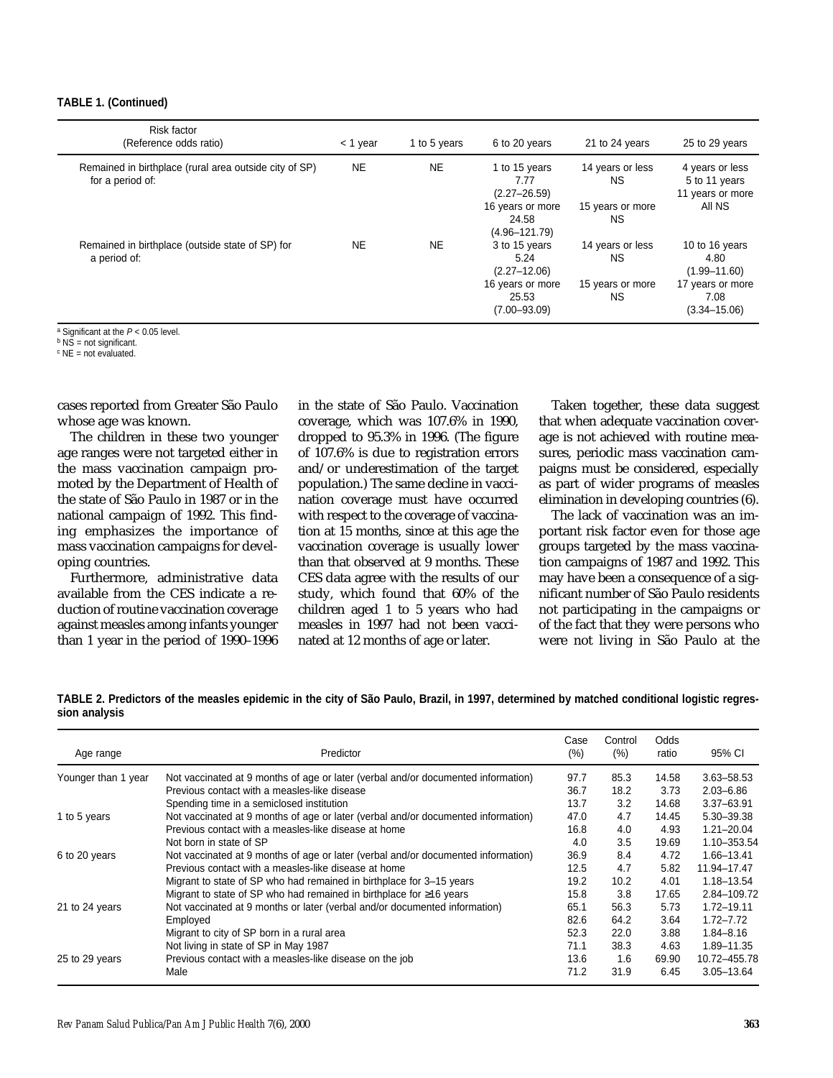#### **TABLE 1. (Continued)**

| Risk factor<br>(Reference odds ratio)                                      | < 1 year  | 1 to 5 years | 6 to 20 years                                  | 21 to 24 years                | 25 to 29 years                                       |  |
|----------------------------------------------------------------------------|-----------|--------------|------------------------------------------------|-------------------------------|------------------------------------------------------|--|
| Remained in birthplace (rural area outside city of SP)<br>for a period of: | <b>NE</b> | <b>NE</b>    | 1 to 15 years<br>7.77<br>$(2.27 - 26.59)$      | 14 years or less<br>NS.       | 4 years or less<br>5 to 11 years<br>11 years or more |  |
|                                                                            |           |              | 16 years or more<br>24.58<br>$(4.96 - 121.79)$ | 15 years or more<br><b>NS</b> | All NS                                               |  |
| Remained in birthplace (outside state of SP) for<br>a period of:           | <b>NE</b> | <b>NE</b>    | 3 to 15 years<br>5.24<br>$(2.27 - 12.06)$      | 14 years or less<br><b>NS</b> | 10 to 16 years<br>4.80<br>$(1.99 - 11.60)$           |  |
|                                                                            |           |              | 16 years or more<br>25.53<br>$(7.00 - 93.09)$  | 15 years or more<br><b>NS</b> | 17 years or more<br>7.08<br>$(3.34 - 15.06)$         |  |

<sup>a</sup> Significant at the  $P < 0.05$  level.<br><sup>b</sup> NS = not significant.

 $c$  NE = not evaluated.

cases reported from Greater São Paulo whose age was known.

The children in these two younger age ranges were not targeted either in the mass vaccination campaign promoted by the Department of Health of the state of São Paulo in 1987 or in the national campaign of 1992. This finding emphasizes the importance of mass vaccination campaigns for developing countries.

Furthermore, administrative data available from the CES indicate a reduction of routine vaccination coverage against measles among infants younger than 1 year in the period of 1990–1996

in the state of São Paulo. Vaccination coverage, which was 107.6% in 1990, dropped to 95.3% in 1996. (The figure of 107.6% is due to registration errors and/or underestimation of the target population.) The same decline in vaccination coverage must have occurred with respect to the coverage of vaccination at 15 months, since at this age the vaccination coverage is usually lower than that observed at 9 months. These CES data agree with the results of our study, which found that 60% of the children aged 1 to 5 years who had measles in 1997 had not been vaccinated at 12 months of age or later.

Taken together, these data suggest that when adequate vaccination coverage is not achieved with routine measures, periodic mass vaccination campaigns must be considered, especially as part of wider programs of measles elimination in developing countries (6).

The lack of vaccination was an important risk factor even for those age groups targeted by the mass vaccination campaigns of 1987 and 1992. This may have been a consequence of a significant number of São Paulo residents not participating in the campaigns or of the fact that they were persons who were not living in São Paulo at the

| TABLE 2. Predictors of the measles epidemic in the city of São Paulo, Brazil, in 1997, determined by matched conditional logistic regres- |  |
|-------------------------------------------------------------------------------------------------------------------------------------------|--|
| sion analysis                                                                                                                             |  |
|                                                                                                                                           |  |

| Age range                  | Predictor                                                                         | Case<br>(%) | Control<br>(% )   | Odds<br>ratio | 95% CI         |
|----------------------------|-----------------------------------------------------------------------------------|-------------|-------------------|---------------|----------------|
| Younger than 1 year        | Not vaccinated at 9 months of age or later (verbal and/or documented information) | 97.7        | 85.3              | 14.58         | 3.63 - 58.53   |
|                            | Previous contact with a measles-like disease                                      | 36.7        | 18.2              | 3.73          | $2.03 - 6.86$  |
|                            | Spending time in a semiclosed institution                                         | 13.7        | 3.2               | 14.68         | $3.37 - 63.91$ |
| 1 to 5 years               | Not vaccinated at 9 months of age or later (verbal and/or documented information) | 47.0        | 4.7               | 14.45         | 5.30-39.38     |
|                            | Previous contact with a measles-like disease at home                              | 16.8        | 4.0               | 4.93          | $1.21 - 20.04$ |
|                            | Not born in state of SP                                                           | 4.0         | 3.5               | 19.69         | 1.10-353.54    |
| 6 to 20 years              | Not vaccinated at 9 months of age or later (verbal and/or documented information) | 36.9        | 8.4               | 4.72          | 1.66-13.41     |
|                            | Previous contact with a measles-like disease at home                              | 12.5        | 4.7               | 5.82          | 11.94-17.47    |
|                            | Migrant to state of SP who had remained in birthplace for 3–15 years              | 19.2        | 10.2 <sub>2</sub> | 4.01          | $1.18 - 13.54$ |
|                            | Migrant to state of SP who had remained in birthplace for $\geq$ 16 years         | 15.8        | 3.8               | 17.65         | 2.84-109.72    |
| 21 to 24 years<br>Employed | Not vaccinated at 9 months or later (verbal and/or documented information)        | 65.1        | 56.3              | 5.73          | 1.72-19.11     |
|                            |                                                                                   | 82.6        | 64.2              | 3.64          | $1.72 - 7.72$  |
|                            | Migrant to city of SP born in a rural area                                        | 52.3        | 22.0              | 3.88          | $1.84 - 8.16$  |
|                            | Not living in state of SP in May 1987                                             | 71.1        | 38.3              | 4.63          | 1.89-11.35     |
| 25 to 29 years             | Previous contact with a measles-like disease on the job                           | 13.6        | 1.6               | 69.90         | 10.72-455.78   |
|                            | Male                                                                              | 71.2        | 31.9              | 6.45          | $3.05 - 13.64$ |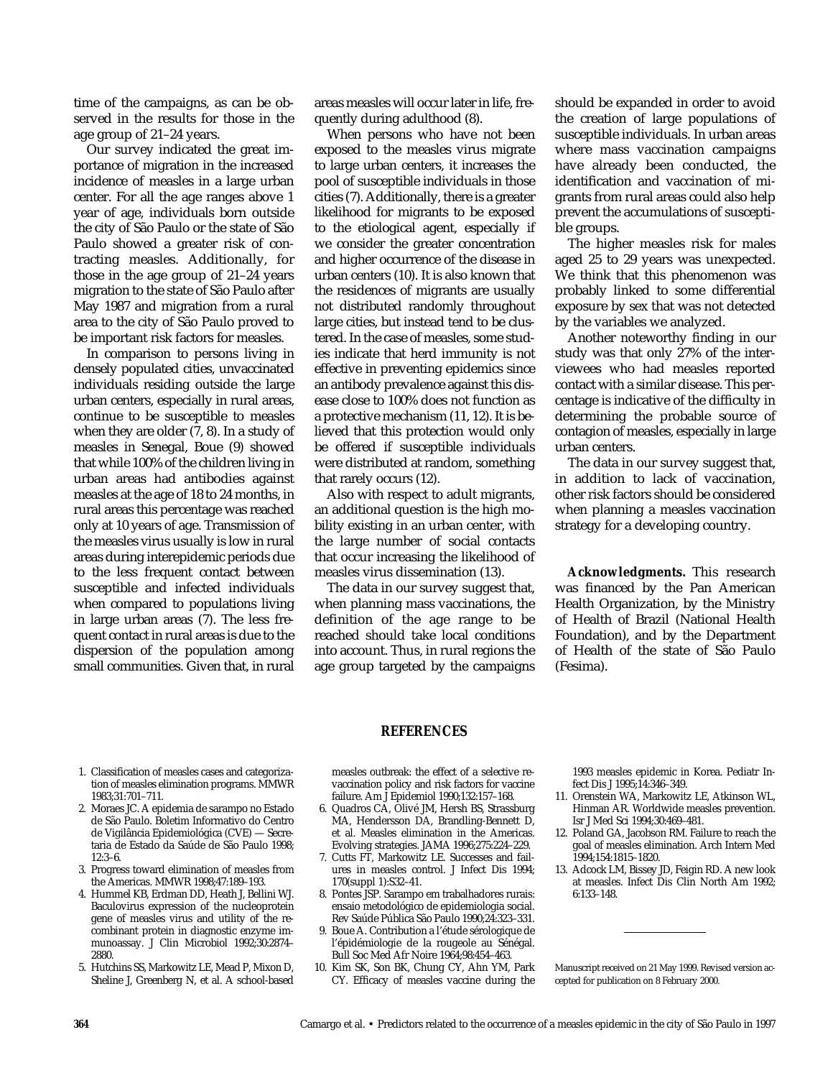time of the campaigns, as can be observed in the results for those in the age group of 21–24 years.

Our survey indicated the great importance of migration in the increased incidence of measles in a large urban center. For all the age ranges above 1 year of age, individuals born outside the city of São Paulo or the state of São Paulo showed a greater risk of contracting measles. Additionally, for those in the age group of 21–24 years migration to the state of São Paulo after May 1987 and migration from a rural area to the city of São Paulo proved to be important risk factors for measles.

In comparison to persons living in densely populated cities, unvaccinated individuals residing outside the large urban centers, especially in rural areas, continue to be susceptible to measles when they are older (7, 8). In a study of measles in Senegal, Boue (9) showed that while 100% of the children living in urban areas had antibodies against measles at the age of 18 to 24 months, in rural areas this percentage was reached only at 10 years of age. Transmission of the measles virus usually is low in rural areas during interepidemic periods due to the less frequent contact between susceptible and infected individuals when compared to populations living in large urban areas (7). The less frequent contact in rural areas is due to the dispersion of the population among small communities. Given that, in rural

areas measles will occur later in life, frequently during adulthood (8).

When persons who have not been exposed to the measles virus migrate to large urban centers, it increases the pool of susceptible individuals in those cities (7). Additionally, there is a greater likelihood for migrants to be exposed to the etiological agent, especially if we consider the greater concentration and higher occurrence of the disease in urban centers (10). It is also known that the residences of migrants are usually not distributed randomly throughout large cities, but instead tend to be clustered. In the case of measles, some studies indicate that herd immunity is not effective in preventing epidemics since an antibody prevalence against this disease close to 100% does not function as a protective mechanism (11, 12). It is believed that this protection would only be offered if susceptible individuals were distributed at random, something that rarely occurs (12).

Also with respect to adult migrants, an additional question is the high mobility existing in an urban center, with the large number of social contacts that occur increasing the likelihood of measles virus dissemination (13).

The data in our survey suggest that, when planning mass vaccinations, the definition of the age range to be reached should take local conditions into account. Thus, in rural regions the age group targeted by the campaigns should be expanded in order to avoid the creation of large populations of susceptible individuals. In urban areas where mass vaccination campaigns have already been conducted, the identification and vaccination of migrants from rural areas could also help prevent the accumulations of susceptible groups.

The higher measles risk for males aged 25 to 29 years was unexpected. We think that this phenomenon was probably linked to some differential exposure by sex that was not detected by the variables we analyzed.

Another noteworthy finding in our study was that only 27% of the interviewees who had measles reported contact with a similar disease. This percentage is indicative of the difficulty in determining the probable source of contagion of measles, especially in large urban centers.

The data in our survey suggest that, in addition to lack of vaccination, other risk factors should be considered when planning a measles vaccination strategy for a developing country.

**Acknowledgments.** This research was financed by the Pan American Health Organization, by the Ministry of Health of Brazil (National Health Foundation), and by the Department of Health of the state of São Paulo (Fesima).

#### **REFERENCES**

- 1. Classification of measles cases and categorization of measles elimination programs. MMWR 1983;31:701–711.
- 2. Moraes JC. A epidemia de sarampo no Estado de São Paulo. Boletim Informativo do Centro de Vigilância Epidemiológica (CVE) — Secretaria de Estado da Saúde de São Paulo 1998; 12:3–6.
- 3. Progress toward elimination of measles from the Americas. MMWR 1998;47:189–193.
- 4. Hummel KB, Erdman DD, Heath J, Bellini WJ. Baculovirus expression of the nucleoprotein gene of measles virus and utility of the recombinant protein in diagnostic enzyme immunoassay. J Clin Microbiol 1992;30:2874– 2880.
- 5. Hutchins SS, Markowitz LE, Mead P, Mixon D, Sheline J, Greenberg N, et al. A school-based

measles outbreak: the effect of a selective revaccination policy and risk factors for vaccine failure. Am J Epidemiol 1990;132:157–168.

- 6. Quadros CA, Olivé JM, Hersh BS, Strassburg MA, Hendersson DA, Brandling-Bennett D, et al. Measles elimination in the Americas. Evolving strategies. JAMA 1996;275:224–229.
- 7. Cutts FT, Markowitz LE. Successes and failures in measles control. J Infect Dis 1994; 170(suppl 1):S32–41.
- 8. Pontes JSP. Sarampo em trabalhadores rurais: ensaio metodológico de epidemiologia social. Rev Saúde Pública São Paulo 1990;24:323–331.
- 9. Boue A. Contribution a l'étude sérologique de l'épidémiologie de la rougeole au Sénégal. Bull Soc Med Afr Noire 1964;98:454–463.
- 10. Kim SK, Son BK, Chung CY, Ahn YM, Park CY. Efficacy of measles vaccine during the

1993 measles epidemic in Korea. Pediatr Infect Dis J 1995;14:346–349.

- 11. Orenstein WA, Markowitz LE, Atkinson WL, Hinman AR. Worldwide measles prevention. Isr J Med Sci 1994;30:469–481.
- 12. Poland GA, Jacobson RM. Failure to reach the goal of measles elimination. Arch Intern Med 1994;154:1815–1820.
- 13. Adcock LM, Bissey JD, Feigin RD. A new look at measles. Infect Dis Clin North Am 1992; 6:133–148.

Manuscript received on 21 May 1999. Revised version accepted for publication on 8 February 2000.